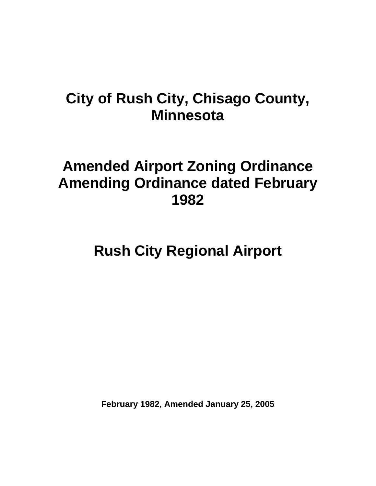## **City of Rush City, Chisago County, Minnesota**

# **Amended Airport Zoning Ordinance Amending Ordinance dated February 1982**

**Rush City Regional Airport** 

**February 1982, Amended January 25, 2005**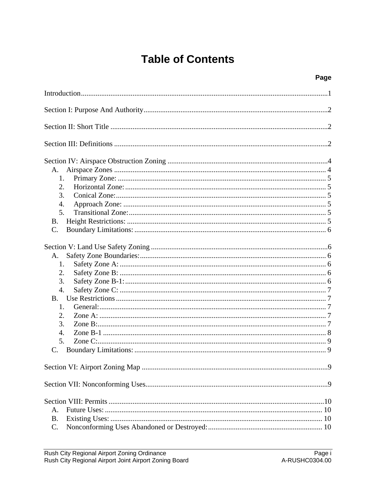## **Table of Contents**

| $\sim$<br>۰.<br>× |
|-------------------|
|-------------------|

| A.               |
|------------------|
| 1.               |
| 2.               |
| 3.               |
| 4.               |
| 5.               |
| <b>B.</b>        |
| C.               |
|                  |
| A.               |
| 1.               |
| 2.               |
| 3.               |
| 4.               |
| <b>B.</b>        |
| 1.               |
| 2.               |
| 3.               |
| $\overline{4}$ . |
| 5.               |
|                  |
|                  |
|                  |
|                  |
| А.               |
| <b>B.</b>        |
| C.               |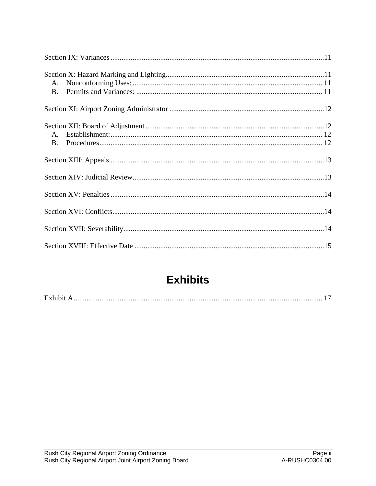| $A_{1}$<br><b>B.</b> |  |
|----------------------|--|
|                      |  |
|                      |  |
|                      |  |
|                      |  |
|                      |  |
|                      |  |

## **Exhibits**

|--|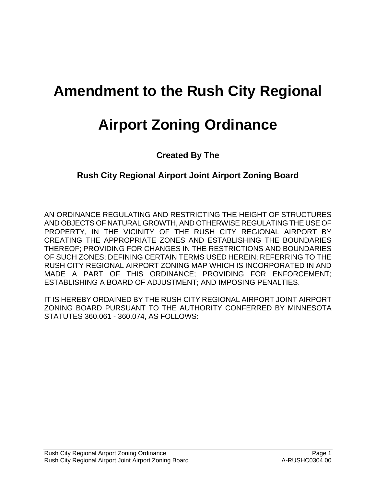# **Amendment to the Rush City Regional**

# **Airport Zoning Ordinance**

**Created By The** 

## **Rush City Regional Airport Joint Airport Zoning Board**

AN ORDINANCE REGULATING AND RESTRICTING THE HEIGHT OF STRUCTURES AND OBJECTS OF NATURAL GROWTH, AND OTHERWISE REGULATING THE USE OF PROPERTY, IN THE VICINITY OF THE RUSH CITY REGIONAL AIRPORT BY CREATING THE APPROPRIATE ZONES AND ESTABLISHING THE BOUNDARIES THEREOF; PROVIDING FOR CHANGES IN THE RESTRICTIONS AND BOUNDARIES OF SUCH ZONES; DEFINING CERTAIN TERMS USED HEREIN; REFERRING TO THE RUSH CITY REGIONAL AIRPORT ZONING MAP WHICH IS INCORPORATED IN AND MADE A PART OF THIS ORDINANCE; PROVIDING FOR ENFORCEMENT; ESTABLISHING A BOARD OF ADJUSTMENT; AND IMPOSING PENALTIES.

IT IS HEREBY ORDAINED BY THE RUSH CITY REGIONAL AIRPORT JOINT AIRPORT ZONING BOARD PURSUANT TO THE AUTHORITY CONFERRED BY MINNESOTA STATUTES 360.061 - 360.074, AS FOLLOWS: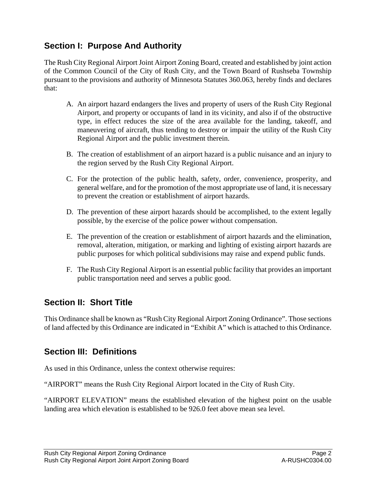## <span id="page-4-0"></span>**Section I: Purpose And Authority**

The Rush City Regional Airport Joint Airport Zoning Board, created and established by joint action of the Common Council of the City of Rush City, and the Town Board of Rushseba Township pursuant to the provisions and authority of Minnesota Statutes 360.063, hereby finds and declares that:

- A. An airport hazard endangers the lives and property of users of the Rush City Regional Airport, and property or occupants of land in its vicinity, and also if of the obstructive type, in effect reduces the size of the area available for the landing, takeoff, and maneuvering of aircraft, thus tending to destroy or impair the utility of the Rush City Regional Airport and the public investment therein.
- B. The creation of establishment of an airport hazard is a public nuisance and an injury to the region served by the Rush City Regional Airport.
- C. For the protection of the public health, safety, order, convenience, prosperity, and general welfare, and for the promotion of the most appropriate use of land, it is necessary to prevent the creation or establishment of airport hazards.
- D. The prevention of these airport hazards should be accomplished, to the extent legally possible, by the exercise of the police power without compensation.
- E. The prevention of the creation or establishment of airport hazards and the elimination, removal, alteration, mitigation, or marking and lighting of existing airport hazards are public purposes for which political subdivisions may raise and expend public funds.
- F. The Rush City Regional Airport is an essential public facility that provides an important public transportation need and serves a public good.

## **Section II: Short Title**

This Ordinance shall be known as "Rush City Regional Airport Zoning Ordinance". Those sections of land affected by this Ordinance are indicated in "Exhibit A" which is attached to this Ordinance.

## **Section III: Definitions**

As used in this Ordinance, unless the context otherwise requires:

"AIRPORT" means the Rush City Regional Airport located in the City of Rush City.

"AIRPORT ELEVATION" means the established elevation of the highest point on the usable landing area which elevation is established to be 926.0 feet above mean sea level.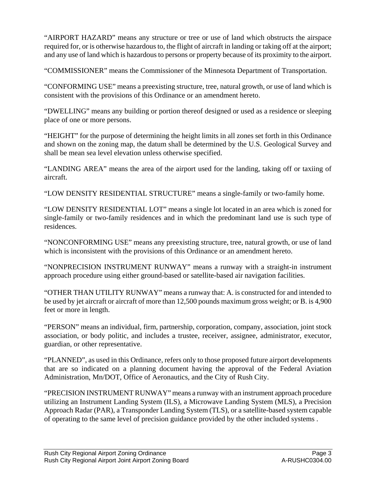"AIRPORT HAZARD" means any structure or tree or use of land which obstructs the airspace required for, or is otherwise hazardous to, the flight of aircraft in landing or taking off at the airport; and any use of land which is hazardous to persons or property because of its proximity to the airport.

"COMMISSIONER" means the Commissioner of the Minnesota Department of Transportation.

"CONFORMING USE" means a preexisting structure, tree, natural growth, or use of land which is consistent with the provisions of this Ordinance or an amendment hereto.

"DWELLING" means any building or portion thereof designed or used as a residence or sleeping place of one or more persons.

"HEIGHT" for the purpose of determining the height limits in all zones set forth in this Ordinance and shown on the zoning map, the datum shall be determined by the U.S. Geological Survey and shall be mean sea level elevation unless otherwise specified.

"LANDING AREA" means the area of the airport used for the landing, taking off or taxiing of aircraft.

"LOW DENSITY RESIDENTIAL STRUCTURE" means a single-family or two-family home.

"LOW DENSITY RESIDENTIAL LOT" means a single lot located in an area which is zoned for single-family or two-family residences and in which the predominant land use is such type of residences.

"NONCONFORMING USE" means any preexisting structure, tree, natural growth, or use of land which is inconsistent with the provisions of this Ordinance or an amendment hereto.

"NONPRECISION INSTRUMENT RUNWAY" means a runway with a straight-in instrument approach procedure using either ground-based or satellite-based air navigation facilities.

"OTHER THAN UTILITY RUNWAY" means a runway that: A. is constructed for and intended to be used by jet aircraft or aircraft of more than 12,500 pounds maximum gross weight; or B. is 4,900 feet or more in length.

"PERSON" means an individual, firm, partnership, corporation, company, association, joint stock association, or body politic, and includes a trustee, receiver, assignee, administrator, executor, guardian, or other representative.

"PLANNED", as used in this Ordinance, refers only to those proposed future airport developments that are so indicated on a planning document having the approval of the Federal Aviation Administration, Mn/DOT, Office of Aeronautics, and the City of Rush City.

"PRECISION INSTRUMENT RUNWAY" means a runway with an instrument approach procedure utilizing an Instrument Landing System (ILS), a Microwave Landing System (MLS), a Precision Approach Radar (PAR), a Transponder Landing System (TLS), or a satellite-based system capable of operating to the same level of precision guidance provided by the other included systems .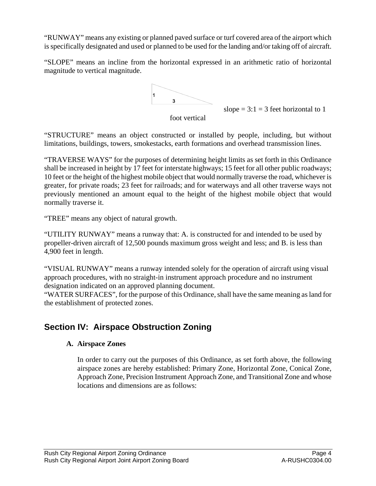<span id="page-6-0"></span>"RUNWAY" means any existing or planned paved surface or turf covered area of the airport which is specifically designated and used or planned to be used for the landing and/or taking off of aircraft.

"SLOPE" means an incline from the horizontal expressed in an arithmetic ratio of horizontal magnitude to vertical magnitude.



slope  $= 3:1 = 3$  feet horizontal to 1

foot vertical

"STRUCTURE" means an object constructed or installed by people, including, but without limitations, buildings, towers, smokestacks, earth formations and overhead transmission lines.

previously mentioned an amount equal to the height of the highest mobile object that would normally traverse it. "TRAVERSE WAYS" for the purposes of determining height limits as set forth in this Ordinance shall be increased in height by 17 feet for interstate highways; 15 feet for all other public roadways; 10 feet or the height of the highest mobile object that would normally traverse the road, whichever is greater, for private roads; 23 feet for railroads; and for waterways and all other traverse ways not

"TREE" means any object of natural growth.

propeller-driven aircraft of 12,500 pounds maximum gross weight and less; and B. is less than ,900 feet in length. 4 "UTILITY RUNWAY" means a runway that: A. is constructed for and intended to be used by

"VISUAL RUNWAY" means a runway intended solely for the operation of aircraft using visual approach procedures, with no straight-in instrument approach procedure and no instrument designation indicated on an approved planning document.

"WATER SURFACES", for the purpose of this Ordinance, shall have the same meaning as land for the establishment of protected zones.

## **Section IV: Airspace Obstruction Zoning**

#### **A. Airspace Zones**

Approach Zone, Precision Instrument Approach Zone, and Transitional Zone and whose locations and dimensions are as follows: In order to carry out the purposes of this Ordinance, as set forth above, the following airspace zones are hereby established: Primary Zone, Horizontal Zone, Conical Zone,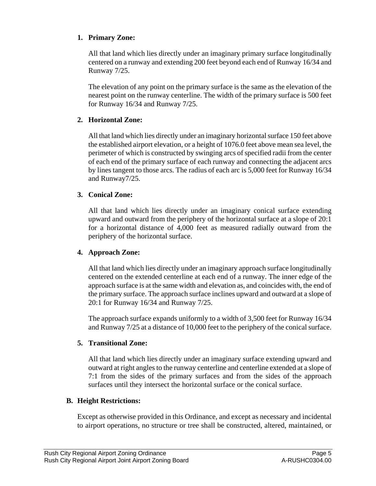#### <span id="page-7-0"></span>**1. Primary Zone:**

All that land which lies directly under an imaginary primary surface longitudinally centered on a runway and extending 200 feet beyond each end of Runway 16/34 and Runway 7/25.

The elevation of any point on the primary surface is the same as the elevation of the nearest point on the runway centerline. The width of the primary surface is 500 feet for Runway 16/34 and Runway 7/25.

#### **2. Horizontal Zone:**

All that land which lies directly under an imaginary horizontal surface 150 feet above the established airport elevation, or a height of 1076.0 feet above mean sea level, the perimeter of which is constructed by swinging arcs of specified radii from the center of each end of the primary surface of each runway and connecting the adjacent arcs by lines tangent to those arcs. The radius of each arc is 5,000 feet for Runway 16/34 and Runway7/25.

#### **3. Conical Zone:**

All that land which lies directly under an imaginary conical surface extending upward and outward from the periphery of the horizontal surface at a slope of 20:1 for a horizontal distance of 4,000 feet as measured radially outward from the periphery of the horizontal surface.

#### **4. Approach Zone:**

approach surface is at the same width and elevation as, and coincides with, the end of the primary surface. The approach surface inclines upward and outward at a slope of 20:1 for Runway 16/34 and Runway 7/25. All that land which lies directly under an imaginary approach surface longitudinally centered on the extended centerline at each end of a runway. The inner edge of the

The approach surface expands uniformly to a width of 3,500 feet for Runway 16/34 and Runway 7/25 at a distance of 10,000 feet to the periphery of the conical surface.

#### **5. Transitional Zone:**

All that land which lies directly under an imaginary surface extending upward and outward at right angles to the runway centerline and centerline extended at a slope of 7:1 from the sides of the primary surfaces and from the sides of the approach surfaces until they intersect the horizontal surface or the conical surface.

#### **B. Height Restrictions:**

Except as otherwise provided in this Ordinance, and except as necessary and incidental to airport operations, no structure or tree shall be constructed, altered, maintained, or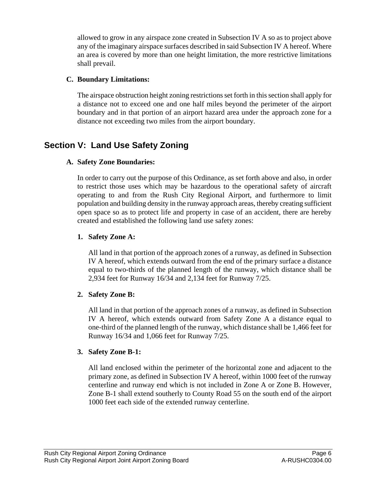<span id="page-8-0"></span>allowed to grow in any airspace zone created in Subsection IV A so as to project above any of the imaginary airspace surfaces described in said Subsection IV A hereof. Where an area is covered by more than one height limitation, the more restrictive limitations shall prevail.

#### **C. Boundary Limitations:**

The airspace obstruction height zoning restrictions set forth in this section shall apply for a distance not to exceed one and one half miles beyond the perimeter of the airport boundary and in that portion of an airport hazard area under the approach zone for a distance not exceeding two miles from the airport boundary.

## **Se ction V: Land Use Safety Zoning**

#### **A. Safety Zone Boundaries:**

In order to carry out the purpose of this Ordinance, as set forth above and also, in order to restrict those uses which may be hazardous to the operational safety of aircraft operating to and from the Rush City Regional Airport, and furthermore to limit population and building density in the runway approach areas, thereby creating sufficient open space so as to protect life and property in case of an accident, there are hereby created and established the following land use safety zones:

#### **1. Safety Zone A:**

All land in that portion of the approach zones of a runway, as defined in Subsection IV A hereof, which extends outward from the end of the primary surface a distance equal to two-thirds of the planned length of the runway, which distance shall be 2,934 feet for Runway 16/34 and 2,134 feet for Runway 7/25.

#### **2. Safety Zone B:**

All land in that portion of the approach zones of a runway, as defined in Subsection IV A hereof, which extends outward from Safety Zone A a distance equal to one-third of the planned length of the runway, which distance shall be 1,466 feet for Runway 16/34 and 1,066 feet for Runway 7/25.

#### **3. Safety Zone B-1:**

All land enclosed within the perimeter of the horizontal zone and adjacent to the primary zone, as defined in Subsection IV A hereof, within 1000 feet of the runway centerline and runway end which is not included in Zone A or Zone B. However, Zone B-1 shall extend southerly to County Road 55 on the south end of the airport 1000 feet each side of the extended runway centerline.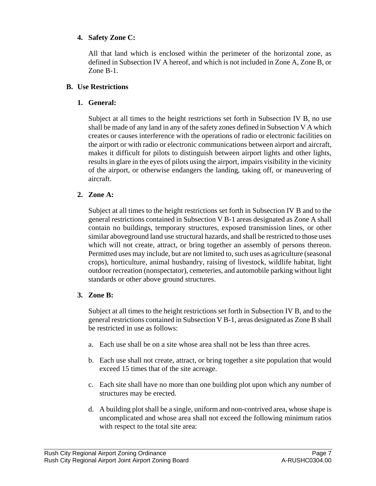#### <span id="page-9-0"></span>**4. Safety Zone C:**

All that land which is enclosed within the perimeter of the horizontal zone, as defined in Subsection IV A hereof, and which is not included in Zone A, Zone B, or Zone B-1.

#### **B. Use Restrictions**

#### **1. General:**

shall be made of any land in any of the safety zones defined in Subsection V A which creates or causes interference with the operations of radio or electronic facilities on the airport or with radio or electronic communications between airport and aircraft, makes it difficult for pilots to distinguish between airport lights and other lights, Subject at all times to the height restrictions set forth in Subsection IV B, no use results in glare in the eyes of pilots using the airport, impairs visibility in the vicinity of the airport, or otherwise endangers the landing, taking off, or maneuvering of aircraft.

#### **2. Zone A:**

similar aboveground land use structural hazards, and shall be restricted to those uses which will not create, attract, or bring together an assembly of persons thereon. Permitted uses may include, but are not limited to, such uses as agriculture (seasonal standards or other above ground structures. Subject at all times to the height restrictions set forth in Subsection IV B and to the general restrictions contained in Subsection V B-1 areas designated as Zone A shall contain no buildings, temporary structures, exposed transmission lines, or other crops), horticulture, animal husbandry, raising of livestock, wildlife habitat, light outdoor recreation (nonspectator), cemeteries, and automobile parking without light

#### **3. Zone B:**

general restrictions contained in Subsection V B-1, areas designated as Zone B shall be restricted in use as follows: Subject at all times to the height restrictions set forth in Subsection IV B, and to the

- a. Each use shall be on a site whose area shall not be less than three acres.
- b. Each use shall not create, attract, or bring together a site population that would exceed 15 times that of the site acreage.
- c. Each site shall have no more than one building plot upon which any number of structures may be erected.
- d. A building plot shall be a single, uniform and non-contrived area, whose shape is uncomplicated and whose area shall not exceed the following minimum ratios with respect to the total site area: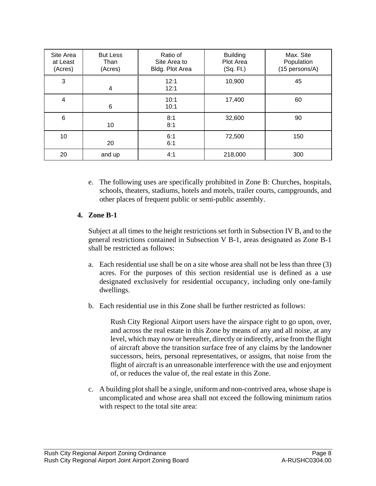<span id="page-10-0"></span>

| Site Area<br>at Least<br>(Acres) | <b>But Less</b><br>Than<br>(Acres) | Ratio of<br>Site Area to<br>Bldg. Plot Area | <b>Building</b><br>Plot Area<br>(Sq. Ft.) | Max. Site<br>Population<br>(15 persons/A) |
|----------------------------------|------------------------------------|---------------------------------------------|-------------------------------------------|-------------------------------------------|
| 3                                | 4                                  | 12:1<br>12:1                                | 10,900                                    | 45                                        |
| 4                                | 6                                  | 10:1<br>10:1                                | 17,400                                    | 60                                        |
| $6\phantom{1}6$                  | 10                                 | 8:1<br>8:1                                  | 32,600                                    | 90                                        |
| 10                               | 20                                 | 6:1<br>6:1                                  | 72,500                                    | 150                                       |
| 20                               | and up                             | 4:1                                         | 218,000                                   | 300                                       |

e. The following uses are specifically prohibited in Zone B: Churches, hospitals, schools, theaters, stadiums, hotels and motels, trailer courts, campgrounds, and other places of frequent public or semi-public assembly.

#### **4. Zone B-1**

Subject at all times to the height restrictions set forth in Subsection IV B, and to the general restrictions contained in Subsection V B-1, areas designated as Zone B-1 shall be restricted as follows:

- acres. For the purposes of this section residential use is defined as a use designated exclusively for residential occupancy, including only one-family a. Each residential use shall be on a site whose area shall not be less than three (3) dwellings.
- b. Each residential use in this Zone shall be further restricted as follows:

successors, heirs, personal representatives, or assigns, that noise from the flight of aircraft is an unreasonable interference with the use and enjoyment Rush City Regional Airport users have the airspace right to go upon, over, and across the real estate in this Zone by means of any and all noise, at any level, which may now or hereafter, directly or indirectly, arise from the flight of aircraft above the transition surface free of any claims by the landowner of, or reduces the value of, the real estate in this Zone.

c. A building plot shall be a single, uniform and non-contrived area, whose shape is uncomplicated and whose area shall not exceed the following minimum ratios with respect to the total site area: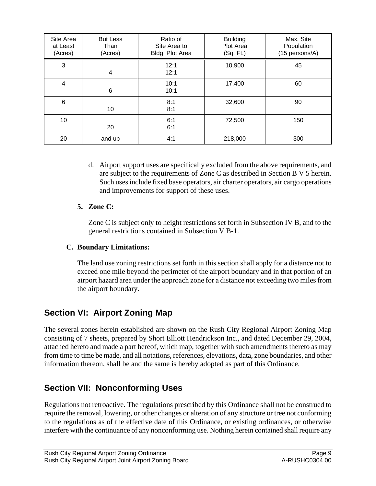<span id="page-11-0"></span>

| Site Area<br>at Least<br>(Acres) | <b>But Less</b><br>Than<br>(Acres) | Ratio of<br>Site Area to<br>Bldg. Plot Area | <b>Building</b><br>Plot Area<br>(Sq. Ft.) | Max. Site<br>Population<br>(15 persons/A) |
|----------------------------------|------------------------------------|---------------------------------------------|-------------------------------------------|-------------------------------------------|
| 3                                | 4                                  | 12:1<br>12:1                                | 10,900                                    | 45                                        |
| $\overline{\mathbf{4}}$          | 6                                  | 10:1<br>10:1                                | 17,400                                    | 60                                        |
| 6                                | 10                                 | 8:1<br>8:1                                  | 32,600                                    | 90                                        |
| 10                               | 20                                 | 6:1<br>6:1                                  | 72,500                                    | 150                                       |
| 20                               | and up                             | 4:1                                         | 218,000                                   | 300                                       |

d. Airport support uses are specifically excluded from the above requirements, and are subject to the requirements of Zone C as described in Section B V 5 herein. Such uses include fixed base operators, air charter operators, air cargo operations and improvements for support of these uses.

#### **5. Zone C:**

Zone C is subject only to height restrictions set forth in Subsection IV B, and to the general restrictions contained in Subsection V B-1.

#### **C. Boundary Limitations:**

The land use zoning restrictions set forth in this section shall apply for a distance not to exceed one mile beyond the perimeter of the airport boundary and in that portion of an airport hazard area under the approach zone for a distance not exceeding two miles from the airport boundary.

## **Section VI: Airport Zoning Map**

The several zones herein established are shown on the Rush City Regional Airport Zoning Map consisting of 7 sheets, prepared by Short Elliott Hendrickson Inc., and dated December 29, 2004, attached hereto and made a part hereof, which map, together with such amendments thereto as may from time to time be made, and all notations, references, elevations, data, zone boundaries, and other information thereon, shall be and the same is hereby adopted as part of this Ordinance.

## **Section VII: Nonconforming Uses**

Regulations not retroactive. The regulations prescribed by this Ordinance shall not be construed to require the removal, lowering, or other changes or alteration of any structure or tree not conforming to the regulations as of the effective date of this Ordinance, or existing ordinances, or otherwise interfere with the continuance of any nonconforming use. Nothing herein contained shall require any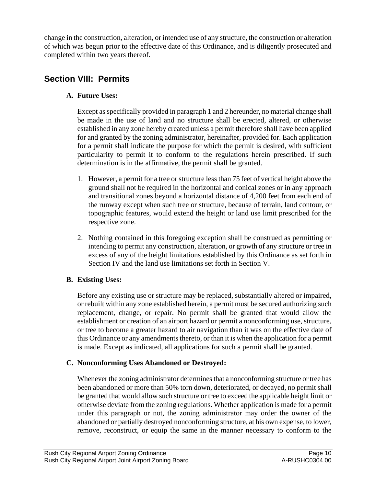<span id="page-12-0"></span>change in the construction, alteration, or intended use of any structure, the construction or alteration of which was begun prior to the effective date of this Ordinance, and is diligently prosecuted and completed within two years thereof.

## **Section VIII: Permits**

#### **A. Future Uses:**

Except as specifically provided in paragraph 1 and 2 hereunder, no material change shall be made in the use of land and no structure shall be erected, altered, or otherwise established in any zone hereby created unless a permit therefore shall have been applied for and granted by the zoning administrator, hereinafter, provided for. Each application for a permit shall indicate the purpose for which the permit is desired, with sufficient particularity to permit it to conform to the regulations herein prescribed. If such determination is in the affirmative, the permit shall be granted.

- 1. However, a permit for a tree or structure less than 75 feet of vertical height above the ground shall not be required in the horizontal and conical zones or in any approach and transitional zones beyond a horizontal distance of 4,200 feet from each end of the runway except when such tree or structure, because of terrain, land contour, or topographic features, would extend the height or land use limit prescribed for the respective zone.
- 2. Nothing contained in this foregoing exception shall be construed as permitting or intending to permit any construction, alteration, or growth of any structure or tree in excess of any of the height limitations established by this Ordinance as set forth in Section IV and the land use limitations set forth in Section V.

#### **B. Existing Uses:**

Before any existing use or structure may be replaced, substantially altered or impaired, or rebuilt within any zone established herein, a permit must be secured authorizing such replacement, change, or repair. No permit shall be granted that would allow the establishment or creation of an airport hazard or permit a nonconforming use, structure, or tree to become a greater hazard to air navigation than it was on the effective date of this Ordinance or any amendments thereto, or than it is when the application for a permit is made. Except as indicated, all applications for such a permit shall be granted.

#### **C. Nonconforming Uses Abandoned or Destroyed:**

Whenever the zoning administrator determines that a nonconforming structure or tree has been abandoned or more than 50% torn down, deteriorated, or decayed, no permit shall be granted that would allow such structure or tree to exceed the applicable height limit or otherwise deviate from the zoning regulations. Whether application is made for a permit under this paragraph or not, the zoning administrator may order the owner of the abandoned or partially destroyed nonconforming structure, at his own expense, to lower, remove, reconstruct, or equip the same in the manner necessary to conform to the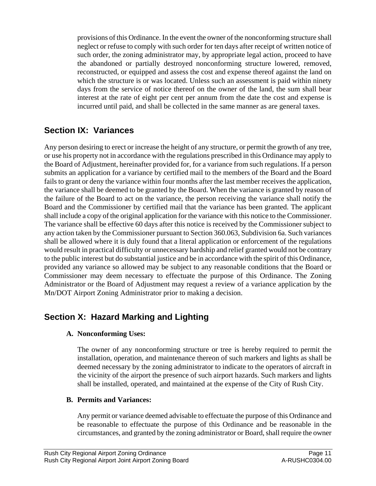<span id="page-13-0"></span>provisions of this Ordinance. In the event the owner of the nonconforming structure shall neglect or refuse to comply with such order for ten days after receipt of written notice of such order, the zoning administrator may, by appropriate legal action, proceed to have the abandoned or partially destroyed nonconforming structure lowered, removed, reconstructed, or equipped and assess the cost and expense thereof against the land on which the structure is or was located. Unless such an assessment is paid within ninety days from the service of notice thereof on the owner of the land, the sum shall bear interest at the rate of eight per cent per annum from the date the cost and expense is incurred until paid, and shall be collected in the same manner as are general taxes.

## **Section IX: Variances**

Any person desiring to erect or increase the height of any structure, or permit the growth of any tree, or use his property not in accordance with the regulations prescribed in this Ordinance may apply to the Board of Adjustment, hereinafter provided for, for a variance from such regulations. If a person submits an application for a variance by certified mail to the members of the Board and the Board fails to grant or deny the variance within four months after the last member receives the application, the variance shall be deemed to be granted by the Board. When the variance is granted by reason of the failure of the Board to act on the variance, the person receiving the variance shall notify the Board and the Commissioner by certified mail that the variance has been granted. The applicant shall include a copy of the original application for the variance with this notice to the Commissioner. The variance shall be effective 60 days after this notice is received by the Commissioner subject to any action taken by the Commissioner pursuant to Section 360.063, Subdivision 6a. Such variances shall be allowed where it is duly found that a literal application or enforcement of the regulations would result in practical difficulty or unnecessary hardship and relief granted would not be contrary to the public interest but do substantial justice and be in accordance with the spirit of this Ordinance, provided any variance so allowed may be subject to any reasonable conditions that the Board or Commissioner may deem necessary to effectuate the purpose of this Ordinance. The Zoning Administrator or the Board of Adjustment may request a review of a variance application by the Mn/DOT Airport Zoning Administrator prior to making a decision.

## **Section X: Hazard Marking and Lighting**

#### **A. Nonconforming Uses:**

The owner of any nonconforming structure or tree is hereby required to permit the installation, operation, and maintenance thereon of such markers and lights as shall be deemed necessary by the zoning administrator to indicate to the operators of aircraft in the vicinity of the airport the presence of such airport hazards. Such markers and lights shall be installed, operated, and maintained at the expense of the City of Rush City.

#### **B. Permits and Variances:**

Any permit or variance deemed advisable to effectuate the purpose of this Ordinance and be reasonable to effectuate the purpose of this Ordinance and be reasonable in the circumstances, and granted by the zoning administrator or Board, shall require the owner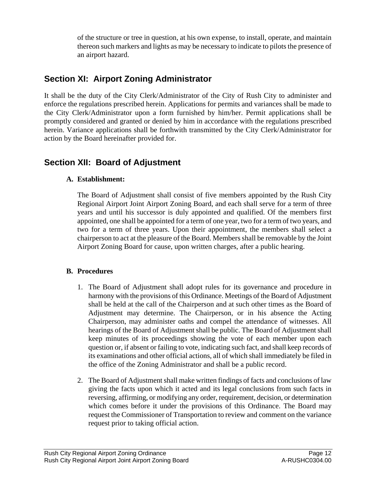<span id="page-14-0"></span>of the structure or tree in question, at his own expense, to install, operate, and maintain thereon such markers and lights as may be necessary to indicate to pilots the presence of an airport hazard.

## **Section XI: Airport Zoning Administrator**

It shall be the duty of the City Clerk/Administrator of the City of Rush City to administer and enforce the regulations prescribed herein. Applications for permits and variances shall be made to the City Clerk/Administrator upon a form furnished by him/her. Permit applications shall be promptly considered and granted or denied by him in accordance with the regulations prescribed herein. Variance applications shall be forthwith transmitted by the City Clerk/Administrator for action by the Board hereinafter provided for.

## **Section XII: Board of Adjustment**

#### **A. Establishment:**

The Board of Adjustment shall consist of five members appointed by the Rush City Regional Airport Joint Airport Zoning Board, and each shall serve for a term of three years and until his successor is duly appointed and qualified. Of the members first appointed, one shall be appointed for a term of one year, two for a term of two years, and two for a term of three years. Upon their appointment, the members shall select a chairperson to act at the pleasure of the Board. Members shall be removable by the Joint Airport Zoning Board for cause, upon written charges, after a public hearing.

#### **B. Procedures**

- 1. The Board of Adjustment shall adopt rules for its governance and procedure in harmony with the provisions of this Ordinance. Meetings of the Board of Adjustment shall be held at the call of the Chairperson and at such other times as the Board of Adjustment may determine. The Chairperson, or in his absence the Acting Chairperson, may administer oaths and compel the attendance of witnesses. All hearings of the Board of Adjustment shall be public. The Board of Adjustment shall keep minutes of its proceedings showing the vote of each member upon each question or, if absent or failing to vote, indicating such fact, and shall keep records of its examinations and other official actions, all of which shall immediately be filed in the office of the Zoning Administrator and shall be a public record.
- 2. The Board of Adjustment shall make written findings of facts and conclusions of law giving the facts upon which it acted and its legal conclusions from such facts in reversing, affirming, or modifying any order, requirement, decision, or determination which comes before it under the provisions of this Ordinance. The Board may request the Commissioner of Transportation to review and comment on the variance request prior to taking official action.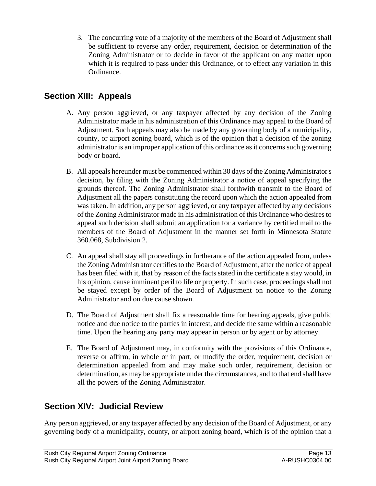<span id="page-15-0"></span>3. The concurring vote of a majority of the members of the Board of Adjustment shall be sufficient to reverse any order, requirement, decision or determination of the Zoning Administrator or to decide in favor of the applicant on any matter upon which it is required to pass under this Ordinance, or to effect any variation in this Ordinance.

## **Section XIII: Appeals**

- A. Any person aggrieved, or any taxpayer affected by any decision of the Zoning Administrator made in his administration of this Ordinance may appeal to the Board of Adjustment. Such appeals may also be made by any governing body of a municipality, county, or airport zoning board, which is of the opinion that a decision of the zoning administrator is an improper application of this ordinance as it concerns such governing body or board.
- B. All appeals hereunder must be commenced within 30 days of the Zoning Administrator's decision, by filing with the Zoning Administrator a notice of appeal specifying the grounds thereof. The Zoning Administrator shall forthwith transmit to the Board of Adjustment all the papers constituting the record upon which the action appealed from was taken. In addition, any person aggrieved, or any taxpayer affected by any decisions of the Zoning Administrator made in his administration of this Ordinance who desires to appeal such decision shall submit an application for a variance by certified mail to the members of the Board of Adjustment in the manner set forth in Minnesota Statute 360.068, Subdivision 2.
- C. An appeal shall stay all proceedings in furtherance of the action appealed from, unless the Zoning Administrator certifies to the Board of Adjustment, after the notice of appeal has been filed with it, that by reason of the facts stated in the certificate a stay would, in his opinion, cause imminent peril to life or property. In such case, proceedings shall not be stayed except by order of the Board of Adjustment on notice to the Zoning Administrator and on due cause shown.
- D. The Board of Adjustment shall fix a reasonable time for hearing appeals, give public notice and due notice to the parties in interest, and decide the same within a reasonable time. Upon the hearing any party may appear in person or by agent or by attorney.
- E. The Board of Adjustment may, in conformity with the provisions of this Ordinance, reverse or affirm, in whole or in part, or modify the order, requirement, decision or determination appealed from and may make such order, requirement, decision or determination, as may be appropriate under the circumstances, and to that end shall have all the powers of the Zoning Administrator.

## **Section XIV: Judicial Review**

Any person aggrieved, or any taxpayer affected by any decision of the Board of Adjustment, or any governing body of a municipality, county, or airport zoning board, which is of the opinion that a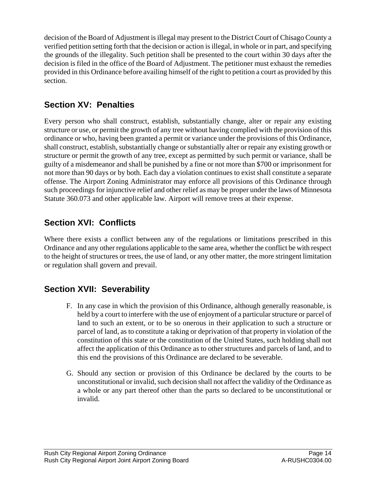<span id="page-16-0"></span>decision of the Board of Adjustment is illegal may present to the District Court of Chisago County a verified petition setting forth that the decision or action is illegal, in whole or in part, and specifying the grounds of the illegality. Such petition shall be presented to the court within 30 days after the decision is filed in the office of the Board of Adjustment. The petitioner must exhaust the remedies provided in this Ordinance before availing himself of the right to petition a court as provided by this section.

## **Section XV: Penalties**

Every person who shall construct, establish, substantially change, alter or repair any existing structure or use, or permit the growth of any tree without having complied with the provision of this ordinance or who, having been granted a permit or variance under the provisions of this Ordinance, shall construct, establish, substantially change or substantially alter or repair any existing growth or structure or permit the growth of any tree, except as permitted by such permit or variance, shall be guilty of a misdemeanor and shall be punished by a fine or not more than \$700 or imprisonment for not more than 90 days or by both. Each day a violation continues to exist shall constitute a separate offense. The Airport Zoning Administrator may enforce all provisions of this Ordinance through such proceedings for injunctive relief and other relief as may be proper under the laws of Minnesota Statute 360.073 and other applicable law. Airport will remove trees at their expense.

## **Section XVI: Conflicts**

Where there exists a conflict between any of the regulations or limitations prescribed in this Ordinance and any other regulations applicable to the same area, whether the conflict be with respect to the height of structures or trees, the use of land, or any other matter, the more stringent limitation or regulation shall govern and prevail.

## **Section XVII: Severability**

- F. In any case in which the provision of this Ordinance, although generally reasonable, is held by a court to interfere with the use of enjoyment of a particular structure or parcel of land to such an extent, or to be so onerous in their application to such a structure or parcel of land, as to constitute a taking or deprivation of that property in violation of the constitution of this state or the constitution of the United States, such holding shall not affect the application of this Ordinance as to other structures and parcels of land, and to this end the provisions of this Ordinance are declared to be severable.
- G. Should any section or provision of this Ordinance be declared by the courts to be unconstitutional or invalid, such decision shall not affect the validity of the Ordinance as a whole or any part thereof other than the parts so declared to be unconstitutional or invalid.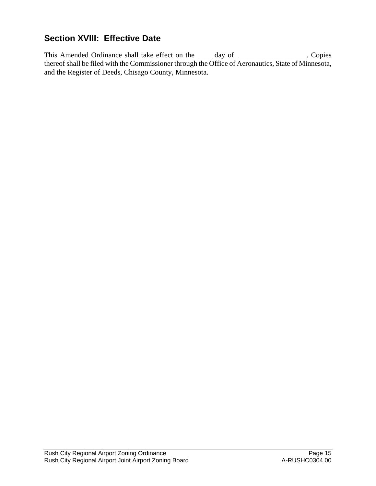## <span id="page-17-0"></span>**Section XVIII: Effective Date**

This Amended Ordinance shall take effect on the \_\_\_\_ day of \_\_\_\_\_\_\_\_\_\_\_\_\_\_\_\_. Copies thereof shall be filed with the Commissioner through the Office of Aeronautics, State of Minnesota, and the Register of Deeds, Chisago County, Minnesota.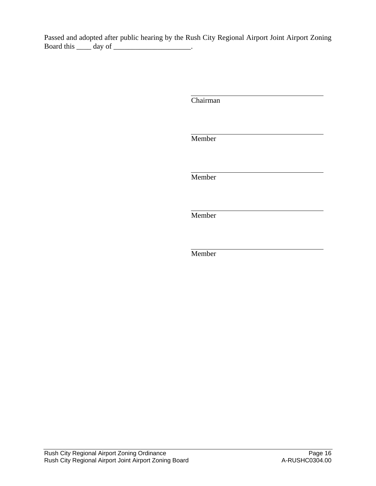Passed and adopted after public hearing by the Rush City Regional Airport Joint Airport Zoning Board this \_\_\_\_\_\_\_\_ day of \_\_\_\_\_\_\_\_\_\_\_\_\_\_\_\_\_\_\_\_.

Chairman

Member

Member

Member

Member